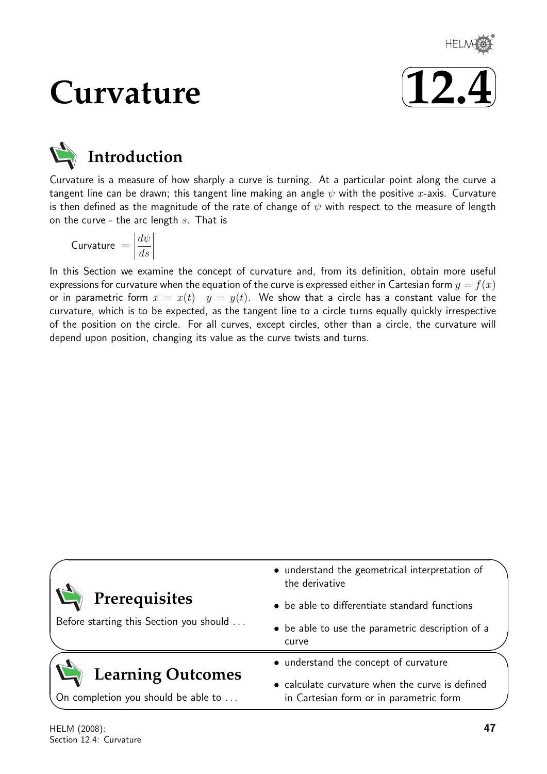

# **Curvature**



# **Introduction**

Curvature is a measure of how sharply a curve is turning. At a particular point along the curve a tangent line can be drawn; this tangent line making an angle  $\psi$  with the positive x-axis. Curvature is then defined as the magnitude of the rate of change of  $\psi$  with respect to the measure of length on the curve - the arc length  $s$ . That is

$$
\text{Curvature } = \left| \frac{d\psi}{ds} \right|
$$

In this Section we examine the concept of curvature and, from its definition, obtain more useful expressions for curvature when the equation of the curve is expressed either in Cartesian form  $y = f(x)$ or in parametric form  $x = x(t)$   $y = y(t)$ . We show that a circle has a constant value for the curvature, which is to be expected, as the tangent line to a circle turns equally quickly irrespective of the position on the circle. For all curves, except circles, other than a circle, the curvature will depend upon position, changing its value as the curve twists and turns.

| • understand the geometrical interpretation of<br>the derivative                           |  |  |
|--------------------------------------------------------------------------------------------|--|--|
| • be able to differentiate standard functions                                              |  |  |
| • be able to use the parametric description of a<br>curve                                  |  |  |
| • understand the concept of curvature                                                      |  |  |
| • calculate curvature when the curve is defined<br>in Cartesian form or in parametric form |  |  |
|                                                                                            |  |  |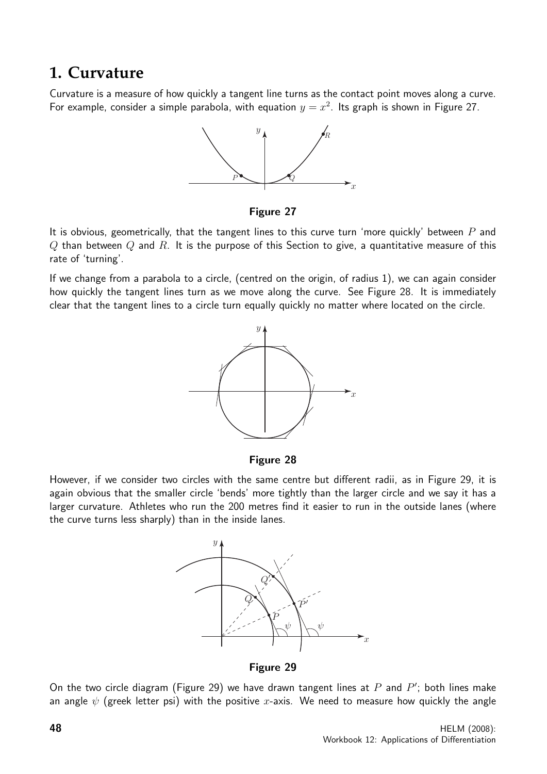### **1. Curvature**

Curvature is a measure of how quickly a tangent line turns as the contact point moves along a curve. For example, consider a simple parabola, with equation  $y = x^2$ . Its graph is shown in Figure 27.



Figure 27

It is obvious, geometrically, that the tangent lines to this curve turn 'more quickly' between  $P$  and  $Q$  than between  $Q$  and  $R$ . It is the purpose of this Section to give, a quantitative measure of this rate of 'turning'.

If we change from a parabola to a circle, (centred on the origin, of radius 1), we can again consider how quickly the tangent lines turn as we move along the curve. See Figure 28. It is immediately clear that the tangent lines to a circle turn equally quickly no matter where located on the circle.



Figure 28

However, if we consider two circles with the same centre but different radii, as in Figure 29, it is again obvious that the smaller circle 'bends' more tightly than the larger circle and we say it has a larger curvature. Athletes who run the 200 metres find it easier to run in the outside lanes (where the curve turns less sharply) than in the inside lanes.



Figure 29

On the two circle diagram (Figure 29) we have drawn tangent lines at  $P$  and  $P'$ ; both lines make an angle  $\psi$  (greek letter psi) with the positive x-axis. We need to measure how quickly the angle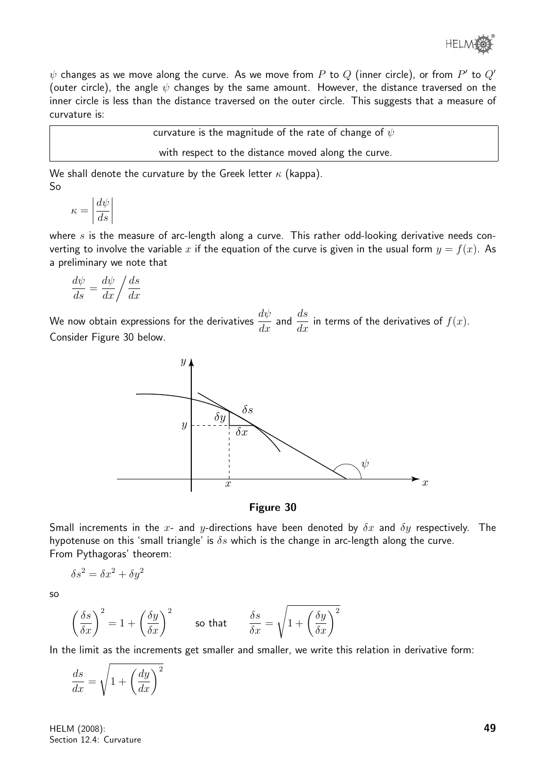$\psi$  changes as we move along the curve. As we move from  $P$  to  $Q$  (inner circle), or from  $P'$  to  $Q'$ (outer circle), the angle  $\psi$  changes by the same amount. However, the distance traversed on the inner circle is less than the distance traversed on the outer circle. This suggests that a measure of curvature is:

curvature is the magnitude of the rate of change of  $\psi$ 

with respect to the distance moved along the curve.

We shall denote the curvature by the Greek letter  $\kappa$  (kappa). So

$$
\kappa = \left| \frac{d\psi}{ds} \right|
$$

where  $s$  is the measure of arc-length along a curve. This rather odd-looking derivative needs converting to involve the variable x if the equation of the curve is given in the usual form  $y = f(x)$ . As a preliminary we note that

$$
\frac{d\psi}{ds} = \frac{d\psi}{dx} / \frac{ds}{dx}
$$

We now obtain expressions for the derivatives  $\frac{d\psi}{dx}$  and  $\frac{ds}{dx}$  in terms of the derivatives of  $f(x)$ . Consider Figure 30 below.



Figure 30

Small increments in the x- and y-directions have been denoted by  $\delta x$  and  $\delta y$  respectively. The hypotenuse on this 'small triangle' is  $\delta s$  which is the change in arc-length along the curve. From Pythagoras' theorem:

$$
\delta s^2 = \delta x^2 + \delta y^2
$$

so

$$
\left(\frac{\delta s}{\delta x}\right)^2 = 1 + \left(\frac{\delta y}{\delta x}\right)^2 \qquad \text{so that} \qquad \frac{\delta s}{\delta x} = \sqrt{1 + \left(\frac{\delta y}{\delta x}\right)^2}
$$

In the limit as the increments get smaller and smaller, we write this relation in derivative form:

$$
\frac{ds}{dx} = \sqrt{1 + \left(\frac{dy}{dx}\right)^2}
$$

HELM (2008): Section 12.4: Curvature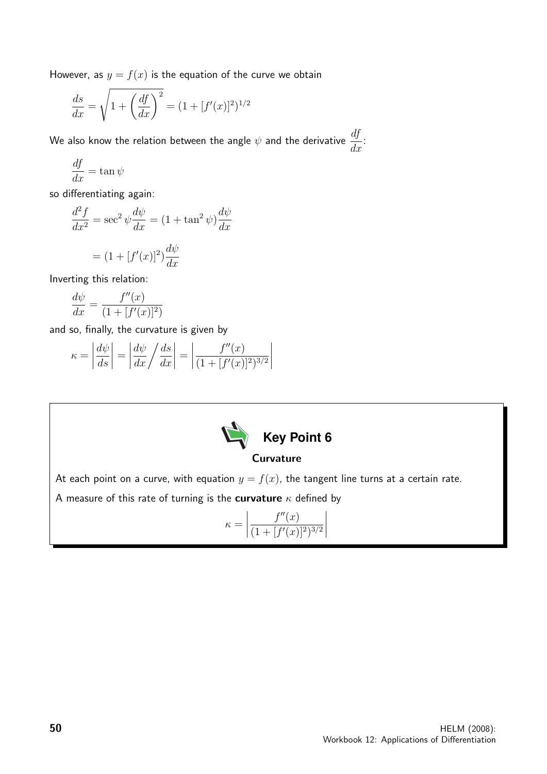However, as  $y = f(x)$  is the equation of the curve we obtain

$$
\frac{ds}{dx} = \sqrt{1 + \left(\frac{df}{dx}\right)^2} = (1 + [f'(x)]^2)^{1/2}
$$

We also know the relation between the angle  $\psi$  and the derivative  $\frac{df}{d\psi}$  $\frac{dy}{dx}$ :

$$
\frac{df}{dx} = \tan\psi
$$

so differentiating again:

$$
\frac{d^2f}{dx^2} = \sec^2 \psi \frac{d\psi}{dx} = (1 + \tan^2 \psi) \frac{d\psi}{dx}
$$

$$
= (1 + [f'(x)]^2) \frac{d\psi}{dx}
$$

Inverting this relation:

$$
\frac{d\psi}{dx} = \frac{f''(x)}{(1 + [f'(x)]^2)}
$$

and so, finally, the curvature is given by

$$
\kappa = \left| \frac{d\psi}{ds} \right| = \left| \frac{d\psi}{dx} \middle/ \frac{ds}{dx} \right| = \left| \frac{f''(x)}{(1 + [f'(x)]^2)^{3/2}} \right|
$$



#### **Curvature**

At each point on a curve, with equation  $y = f(x)$ , the tangent line turns at a certain rate.

A measure of this rate of turning is the curvature  $\kappa$  defined by

$$
\kappa = \left| \frac{f''(x)}{(1 + [f'(x)]^2)^{3/2}} \right|
$$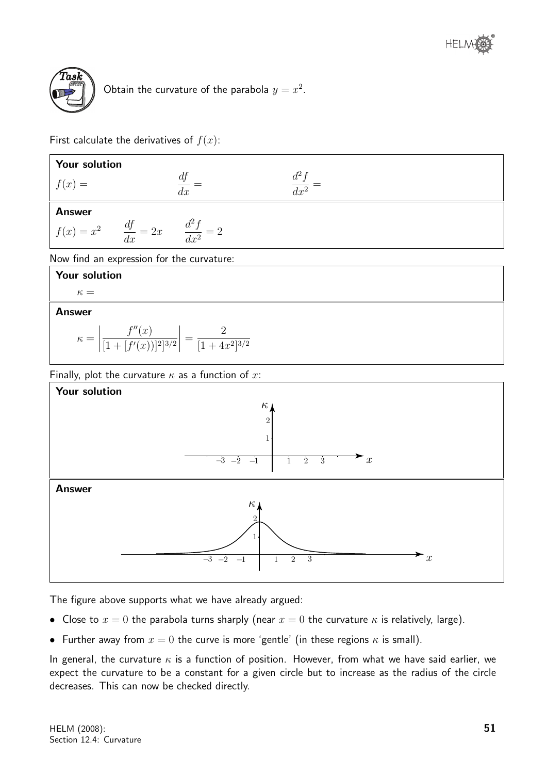

Obtain the curvature of the parabola  $y = x^2$ .

First calculate the derivatives of  $f(x)$ :

| Your solution                                                                                |                   |  |  |  |  |
|----------------------------------------------------------------------------------------------|-------------------|--|--|--|--|
| $f(x) =$                                                                                     | $\frac{df}{dx} =$ |  |  |  |  |
| <b>Answer</b><br>$f(x) = x^2$ $\frac{df}{dx} = 2x$ $\frac{d^2f}{dx^2} = 2$                   |                   |  |  |  |  |
| Now find an expression for the curvature:<br>Your solution                                   |                   |  |  |  |  |
| $\kappa =$                                                                                   |                   |  |  |  |  |
| <b>Answer</b>                                                                                |                   |  |  |  |  |
| $\kappa = \left  \frac{f''(x)}{[1 + [f'(x))]^2]^{3/2}} \right  = \frac{2}{[1 + 4x^2]^{3/2}}$ |                   |  |  |  |  |

Finally, plot the curvature  $\kappa$  as a function of  $x$ :



The figure above supports what we have already argued:

- Close to  $x = 0$  the parabola turns sharply (near  $x = 0$  the curvature  $\kappa$  is relatively, large).
- Further away from  $x = 0$  the curve is more 'gentle' (in these regions  $\kappa$  is small).

In general, the curvature  $\kappa$  is a function of position. However, from what we have said earlier, we expect the curvature to be a constant for a given circle but to increase as the radius of the circle decreases. This can now be checked directly.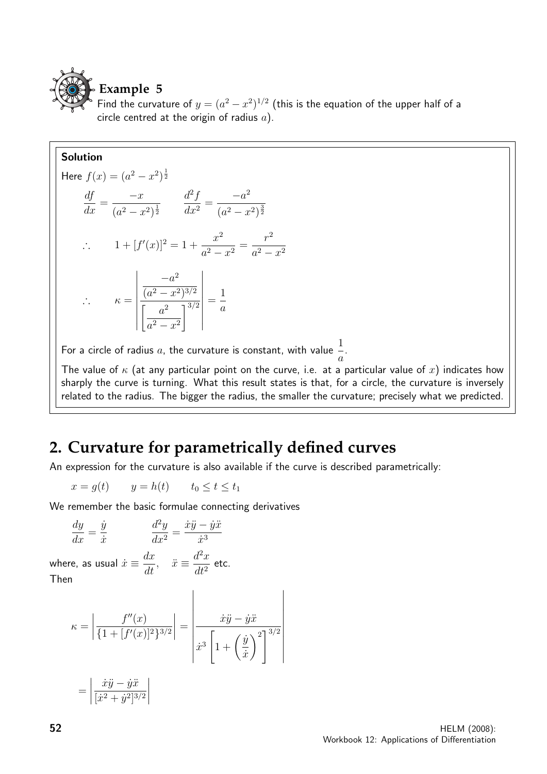

Find the curvature of  $y = (a^2 - x^2)^{1/2}$  (this is the equation of the upper half of a circle centred at the origin of radius  $a$ ).

#### Solution

Here 
$$
f(x) = (a^2 - x^2)^{\frac{1}{2}}
$$
  
\n
$$
\frac{df}{dx} = \frac{-x}{(a^2 - x^2)^{\frac{1}{2}}} \qquad \frac{d^2f}{dx^2} = \frac{-a^2}{(a^2 - x^2)^{\frac{3}{2}}}
$$
\n
$$
\therefore \qquad 1 + [f'(x)]^2 = 1 + \frac{x^2}{a^2 - x^2} = \frac{r^2}{a^2 - x^2}
$$
\n
$$
\therefore \qquad \kappa = \left| \frac{-a^2}{\left[ \frac{a^2 - x^2}{a^2 - x^2} \right]^{3/2}} \right| = \frac{1}{a}
$$
\nFor a circle of radius *a*, the curvature is constant.

For a circle of radius  $a$ , the curvature is constant, with value  $\frac{1}{a}$ a .

The value of  $\kappa$  (at any particular point on the curve, i.e. at a particular value of x) indicates how sharply the curve is turning. What this result states is that, for a circle, the curvature is inversely related to the radius. The bigger the radius, the smaller the curvature; precisely what we predicted.

## **2. Curvature for parametrically defined curves**

An expression for the curvature is also available if the curve is described parametrically:

$$
x = g(t) \qquad y = h(t) \qquad t_0 \le t \le t_1
$$

We remember the basic formulae connecting derivatives

$$
\frac{dy}{dx} = \frac{\dot{y}}{\dot{x}}
$$
\n
$$
\frac{d^2y}{dx^2} = \frac{\dot{x}\ddot{y} - \dot{y}\ddot{x}}{\dot{x}^3}
$$

where, as usual  $\dot{x} \equiv \frac{dx}{dt}$ ,  $\ddot{x} \equiv \frac{d^2x}{dt^2}$  $rac{d}{dt^2}$  etc. Then

$$
\kappa = \left| \frac{f''(x)}{\{1 + [f'(x)]^2\}^{3/2}} \right| = \left| \frac{\dot{x}\ddot{y} - \ddot{y}\ddot{x}}{\dot{x}^3 \left[ 1 + \left(\frac{\dot{y}}{\dot{x}}\right)^2 \right]^{3/2}} \right|
$$

$$
= \left| \frac{\dot{x}\ddot{y} - \ddot{y}\ddot{x}}{[\dot{x}^2 + \dot{y}^2]^{3/2}} \right|
$$